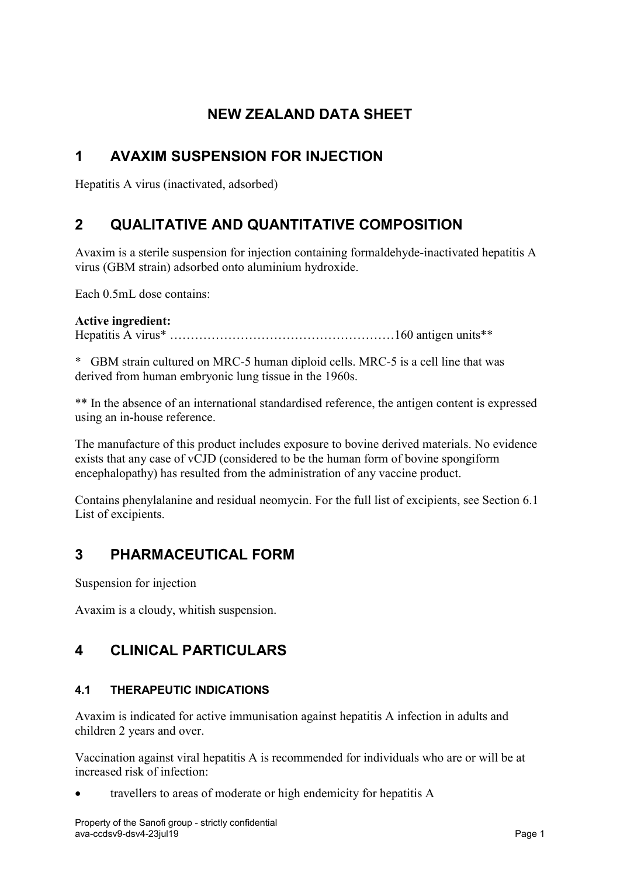# **NEW ZEALAND DATA SHEET**

# **1 AVAXIM SUSPENSION FOR INJECTION**

<span id="page-0-0"></span>Hepatitis A virus (inactivated, adsorbed)

# **2 QUALITATIVE AND QUANTITATIVE COMPOSITION**

Avaxim is a sterile suspension for injection containing formaldehyde-inactivated hepatitis A virus (GBM strain) adsorbed onto aluminium hydroxide.

Each 0.5mL dose contains:

## **Active ingredient:**

Hepatitis A virus\* ………………………………………………160 antigen units\*\*

\* GBM strain cultured on MRC-5 human diploid cells. MRC-5 is a cell line that was derived from human embryonic lung tissue in the 1960s.

\*\* In the absence of an international standardised reference, the antigen content is expressed using an in-house reference.

The manufacture of this product includes exposure to bovine derived materials. No evidence exists that any case of vCJD (considered to be the human form of bovine spongiform encephalopathy) has resulted from the administration of any vaccine product.

Contains phenylalanine and residual neomycin. For the full list of excipients, see Section [6.1](#page-10-0) List of excipients.

## **3 PHARMACEUTICAL FORM**

Suspension for injection

Avaxim is a cloudy, whitish suspension.

## **4 CLINICAL PARTICULARS**

## **4.1 THERAPEUTIC INDICATIONS**

Avaxim is indicated for active immunisation against hepatitis A infection in adults and children 2 years and over.

Vaccination against viral hepatitis A is recommended for individuals who are or will be at increased risk of infection:

• travellers to areas of moderate or high endemicity for hepatitis A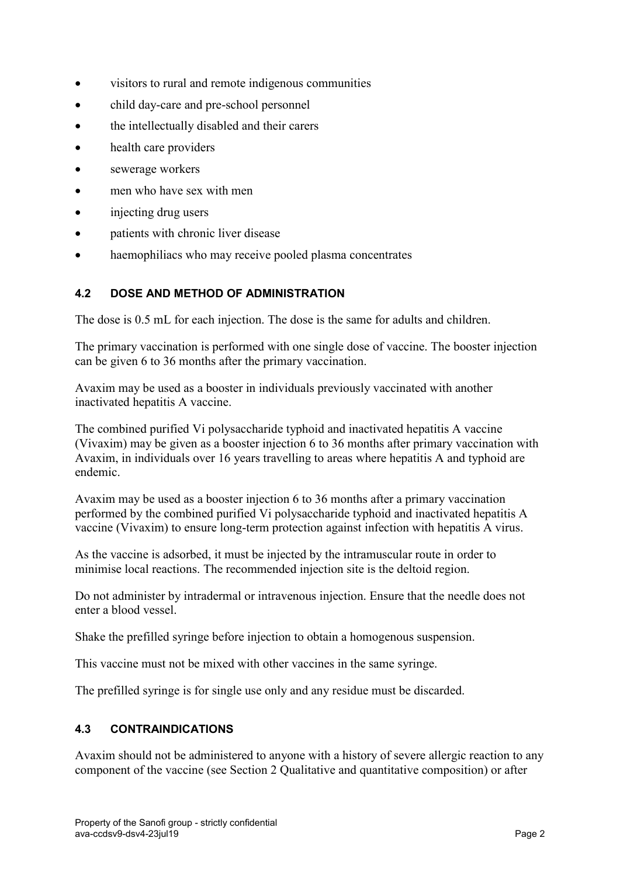- visitors to rural and remote indigenous communities
- child day-care and pre-school personnel
- the intellectually disabled and their carers
- health care providers
- sewerage workers
- men who have sex with men
- injecting drug users
- patients with chronic liver disease
- haemophiliacs who may receive pooled plasma concentrates

## **4.2 DOSE AND METHOD OF ADMINISTRATION**

The dose is 0.5 mL for each injection. The dose is the same for adults and children.

The primary vaccination is performed with one single dose of vaccine. The booster injection can be given 6 to 36 months after the primary vaccination.

Avaxim may be used as a booster in individuals previously vaccinated with another inactivated hepatitis A vaccine.

The combined purified Vi polysaccharide typhoid and inactivated hepatitis A vaccine (Vivaxim) may be given as a booster injection 6 to 36 months after primary vaccination with Avaxim, in individuals over 16 years travelling to areas where hepatitis A and typhoid are endemic.

Avaxim may be used as a booster injection 6 to 36 months after a primary vaccination performed by the combined purified Vi polysaccharide typhoid and inactivated hepatitis A vaccine (Vivaxim) to ensure long-term protection against infection with hepatitis A virus.

As the vaccine is adsorbed, it must be injected by the intramuscular route in order to minimise local reactions. The recommended injection site is the deltoid region.

Do not administer by intradermal or intravenous injection. Ensure that the needle does not enter a blood vessel.

Shake the prefilled syringe before injection to obtain a homogenous suspension.

This vaccine must not be mixed with other vaccines in the same syringe.

The prefilled syringe is for single use only and any residue must be discarded.

## **4.3 CONTRAINDICATIONS**

Avaxim should not be administered to anyone with a history of severe allergic reaction to any component of the vaccine (see Section [2](#page-0-0) Qualitative and quantitative composition) or after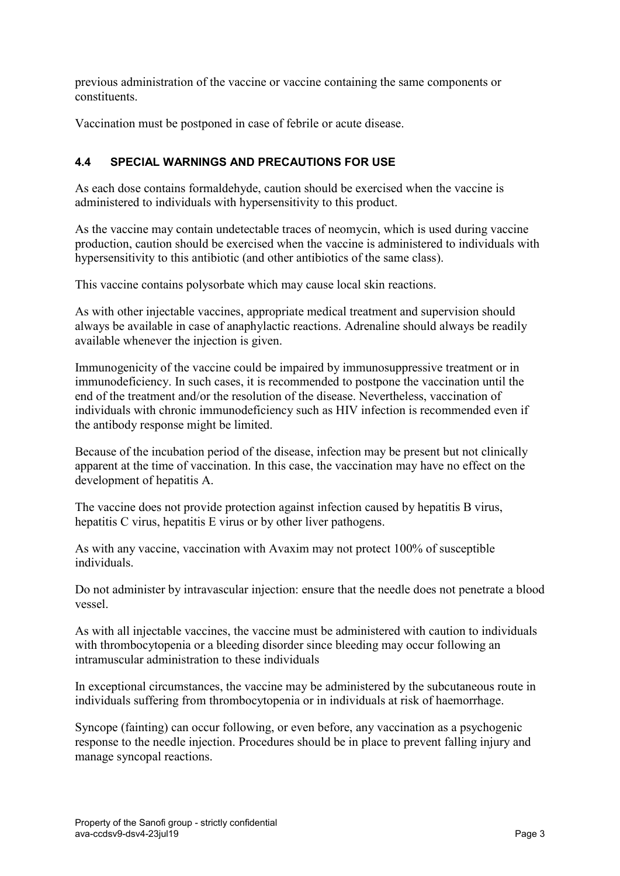previous administration of the vaccine or vaccine containing the same components or constituents.

Vaccination must be postponed in case of febrile or acute disease.

## **4.4 SPECIAL WARNINGS AND PRECAUTIONS FOR USE**

As each dose contains formaldehyde, caution should be exercised when the vaccine is administered to individuals with hypersensitivity to this product.

As the vaccine may contain undetectable traces of neomycin, which is used during vaccine production, caution should be exercised when the vaccine is administered to individuals with hypersensitivity to this antibiotic (and other antibiotics of the same class).

This vaccine contains polysorbate which may cause local skin reactions.

As with other injectable vaccines, appropriate medical treatment and supervision should always be available in case of anaphylactic reactions. Adrenaline should always be readily available whenever the injection is given.

Immunogenicity of the vaccine could be impaired by immunosuppressive treatment or in immunodeficiency. In such cases, it is recommended to postpone the vaccination until the end of the treatment and/or the resolution of the disease. Nevertheless, vaccination of individuals with chronic immunodeficiency such as HIV infection is recommended even if the antibody response might be limited.

Because of the incubation period of the disease, infection may be present but not clinically apparent at the time of vaccination. In this case, the vaccination may have no effect on the development of hepatitis A.

The vaccine does not provide protection against infection caused by hepatitis B virus, hepatitis C virus, hepatitis E virus or by other liver pathogens.

As with any vaccine, vaccination with Avaxim may not protect 100% of susceptible individuals.

Do not administer by intravascular injection: ensure that the needle does not penetrate a blood vessel.

As with all injectable vaccines, the vaccine must be administered with caution to individuals with thrombocytopenia or a bleeding disorder since bleeding may occur following an intramuscular administration to these individuals

In exceptional circumstances, the vaccine may be administered by the subcutaneous route in individuals suffering from thrombocytopenia or in individuals at risk of haemorrhage.

Syncope (fainting) can occur following, or even before, any vaccination as a psychogenic response to the needle injection. Procedures should be in place to prevent falling injury and manage syncopal reactions.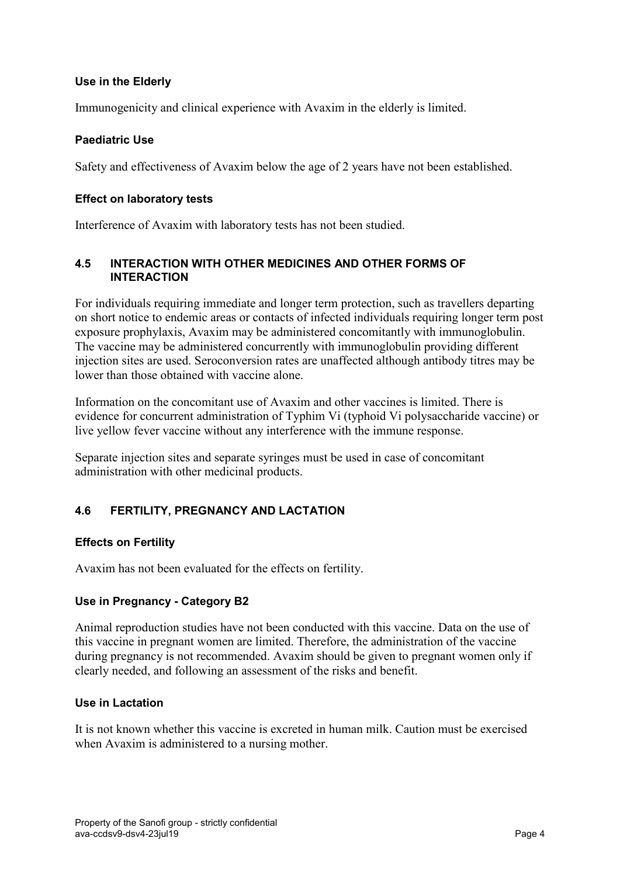### **Use in the Elderly**

Immunogenicity and clinical experience with Avaxim in the elderly is limited.

### **Paediatric Use**

Safety and effectiveness of Avaxim below the age of 2 years have not been established.

#### **Effect on laboratory tests**

Interference of Avaxim with laboratory tests has not been studied.

### **4.5 INTERACTION WITH OTHER MEDICINES AND OTHER FORMS OF INTERACTION**

For individuals requiring immediate and longer term protection, such as travellers departing on short notice to endemic areas or contacts of infected individuals requiring longer term post exposure prophylaxis, Avaxim may be administered concomitantly with immunoglobulin. The vaccine may be administered concurrently with immunoglobulin providing different injection sites are used. Seroconversion rates are unaffected although antibody titres may be lower than those obtained with vaccine alone.

Information on the concomitant use of Avaxim and other vaccines is limited. There is evidence for concurrent administration of Typhim Vi (typhoid Vi polysaccharide vaccine) or live yellow fever vaccine without any interference with the immune response.

Separate injection sites and separate syringes must be used in case of concomitant administration with other medicinal products.

## **4.6 FERTILITY, PREGNANCY AND LACTATION**

#### **Effects on Fertility**

Avaxim has not been evaluated for the effects on fertility.

## **Use in Pregnancy - Category B2**

Animal reproduction studies have not been conducted with this vaccine. Data on the use of this vaccine in pregnant women are limited. Therefore, the administration of the vaccine during pregnancy is not recommended. Avaxim should be given to pregnant women only if clearly needed, and following an assessment of the risks and benefit.

#### **Use in Lactation**

It is not known whether this vaccine is excreted in human milk. Caution must be exercised when Avaxim is administered to a nursing mother.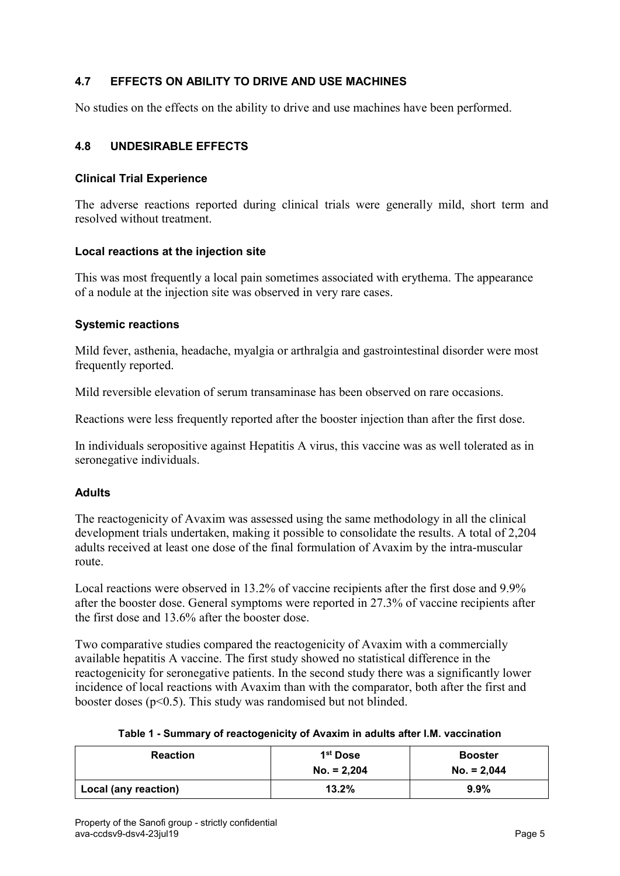## **4.7 EFFECTS ON ABILITY TO DRIVE AND USE MACHINES**

<span id="page-4-0"></span>No studies on the effects on the ability to drive and use machines have been performed.

#### **4.8 UNDESIRABLE EFFECTS**

#### **Clinical Trial Experience**

The adverse reactions reported during clinical trials were generally mild, short term and resolved without treatment.

#### **Local reactions at the injection site**

This was most frequently a local pain sometimes associated with erythema. The appearance of a nodule at the injection site was observed in very rare cases.

#### **Systemic reactions**

Mild fever, asthenia, headache, myalgia or arthralgia and gastrointestinal disorder were most frequently reported.

Mild reversible elevation of serum transaminase has been observed on rare occasions.

Reactions were less frequently reported after the booster injection than after the first dose.

In individuals seropositive against Hepatitis A virus, this vaccine was as well tolerated as in seronegative individuals.

#### **Adults**

The reactogenicity of Avaxim was assessed using the same methodology in all the clinical development trials undertaken, making it possible to consolidate the results. A total of 2,204 adults received at least one dose of the final formulation of Avaxim by the intra-muscular route.

Local reactions were observed in 13.2% of vaccine recipients after the first dose and 9.9% after the booster dose. General symptoms were reported in 27.3% of vaccine recipients after the first dose and 13.6% after the booster dose.

Two comparative studies compared the reactogenicity of Avaxim with a commercially available hepatitis A vaccine. The first study showed no statistical difference in the reactogenicity for seronegative patients. In the second study there was a significantly lower incidence of local reactions with Avaxim than with the comparator, both after the first and booster doses ( $p<0.5$ ). This study was randomised but not blinded.

|  |  |  | Table 1 - Summary of reactogenicity of Avaxim in adults after I.M. vaccination |  |  |
|--|--|--|--------------------------------------------------------------------------------|--|--|
|--|--|--|--------------------------------------------------------------------------------|--|--|

| <b>Reaction</b>      | 1 <sup>st</sup> Dose<br>$No. = 2,204$ | <b>Booster</b><br>$No. = 2,044$ |
|----------------------|---------------------------------------|---------------------------------|
| Local (any reaction) | 13.2%                                 | $9.9\%$                         |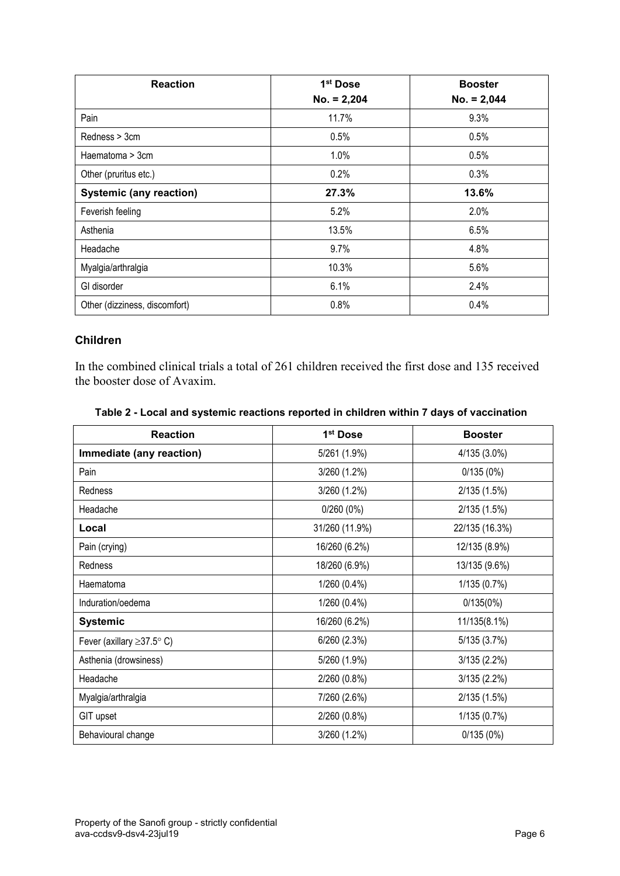| <b>Reaction</b>                | 1 <sup>st</sup> Dose | <b>Booster</b> |
|--------------------------------|----------------------|----------------|
|                                | $No. = 2,204$        | $No. = 2,044$  |
| Pain                           | 11.7%                | 9.3%           |
| Redness > 3cm                  | 0.5%                 | 0.5%           |
| Haematoma > 3cm                | 1.0%                 | 0.5%           |
| Other (pruritus etc.)          | 0.2%                 | 0.3%           |
| <b>Systemic (any reaction)</b> | 27.3%                | 13.6%          |
| Feverish feeling               | 5.2%                 | 2.0%           |
| Asthenia                       | 13.5%                | 6.5%           |
| Headache                       | 9.7%                 | 4.8%           |
| Myalgia/arthralgia             | 10.3%                | 5.6%           |
| GI disorder                    | 6.1%                 | 2.4%           |
| Other (dizziness, discomfort)  | 0.8%                 | 0.4%           |

## **Children**

In the combined clinical trials a total of 261 children received the first dose and 135 received the booster dose of Avaxim.

| <b>Reaction</b>                 | 1 <sup>st</sup> Dose | <b>Booster</b> |
|---------------------------------|----------------------|----------------|
| Immediate (any reaction)        | 5/261 (1.9%)         | 4/135 (3.0%)   |
| Pain                            | 3/260 (1.2%)         | 0/135(0%)      |
| Redness                         | 3/260 (1.2%)         | 2/135 (1.5%)   |
| Headache                        | 0/260(0%)            | 2/135 (1.5%)   |
| Local                           | 31/260 (11.9%)       | 22/135 (16.3%) |
| Pain (crying)                   | 16/260 (6.2%)        | 12/135 (8.9%)  |
| <b>Redness</b>                  | 18/260 (6.9%)        | 13/135 (9.6%)  |
| Haematoma                       | 1/260 (0.4%)         | 1/135 (0.7%)   |
| Induration/oedema               | 1/260 (0.4%)         | 0/135(0%)      |
| <b>Systemic</b>                 | 16/260 (6.2%)        | 11/135(8.1%)   |
| Fever (axillary $\geq$ 37.5° C) | 6/260 (2.3%)         | 5/135 (3.7%)   |
| Asthenia (drowsiness)           | 5/260 (1.9%)         | 3/135(2.2%)    |
| Headache                        | 2/260 (0.8%)         | 3/135 (2.2%)   |
| Myalgia/arthralgia              | 7/260 (2.6%)         | 2/135 (1.5%)   |
| GIT upset                       | 2/260 (0.8%)         | 1/135 (0.7%)   |
| Behavioural change              | 3/260 (1.2%)         | 0/135(0%)      |

#### **Table 2 - Local and systemic reactions reported in children within 7 days of vaccination**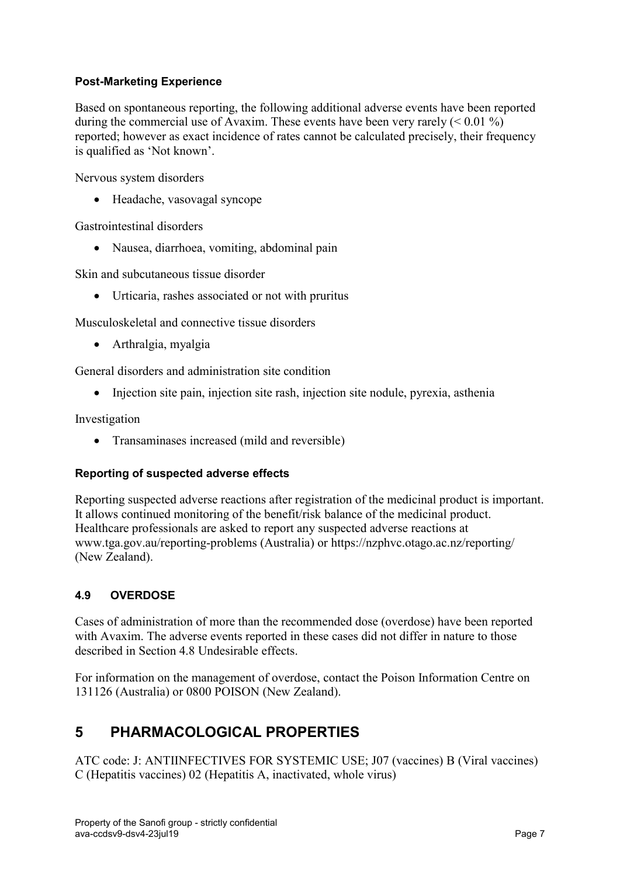## **Post-Marketing Experience**

Based on spontaneous reporting, the following additional adverse events have been reported during the commercial use of Avaxim. These events have been very rarely  $(< 0.01\%)$ reported; however as exact incidence of rates cannot be calculated precisely, their frequency is qualified as 'Not known'.

Nervous system disorders

• Headache, vasovagal syncope

Gastrointestinal disorders

• Nausea, diarrhoea, vomiting, abdominal pain

Skin and subcutaneous tissue disorder

• Urticaria, rashes associated or not with pruritus

Musculoskeletal and connective tissue disorders

• Arthralgia, myalgia

General disorders and administration site condition

• Injection site pain, injection site rash, injection site nodule, pyrexia, asthenia

Investigation

• Transaminases increased (mild and reversible)

#### **Reporting of suspected adverse effects**

Reporting suspected adverse reactions after registration of the medicinal product is important. It allows continued monitoring of the benefit/risk balance of the medicinal product. Healthcare professionals are asked to report any suspected adverse reactions at [www.tga.gov.au/reporting-problems](http://www.tga.gov.au/reporting-problems) (Australia) or<https://nzphvc.otago.ac.nz/reporting/> (New Zealand).

## **4.9 OVERDOSE**

Cases of administration of more than the recommended dose (overdose) have been reported with Avaxim. The adverse events reported in these cases did not differ in nature to those described in Section [4.8](#page-4-0) Undesirable effects.

For information on the management of overdose, contact the Poison Information Centre on 131126 (Australia) or 0800 POISON (New Zealand).

## **5 PHARMACOLOGICAL PROPERTIES**

ATC code: J: ANTIINFECTIVES FOR SYSTEMIC USE; J07 (vaccines) B (Viral vaccines) C (Hepatitis vaccines) 02 (Hepatitis A, inactivated, whole virus)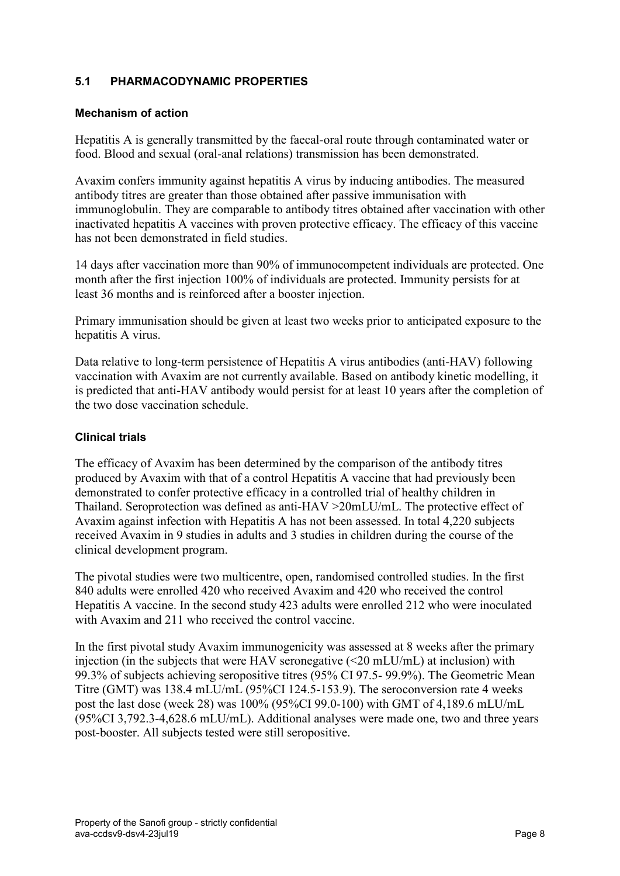## **5.1 PHARMACODYNAMIC PROPERTIES**

### **Mechanism of action**

Hepatitis A is generally transmitted by the faecal-oral route through contaminated water or food. Blood and sexual (oral-anal relations) transmission has been demonstrated.

Avaxim confers immunity against hepatitis A virus by inducing antibodies. The measured antibody titres are greater than those obtained after passive immunisation with immunoglobulin. They are comparable to antibody titres obtained after vaccination with other inactivated hepatitis A vaccines with proven protective efficacy. The efficacy of this vaccine has not been demonstrated in field studies.

14 days after vaccination more than 90% of immunocompetent individuals are protected. One month after the first injection 100% of individuals are protected. Immunity persists for at least 36 months and is reinforced after a booster injection.

Primary immunisation should be given at least two weeks prior to anticipated exposure to the hepatitis A virus.

Data relative to long-term persistence of Hepatitis A virus antibodies (anti-HAV) following vaccination with Avaxim are not currently available. Based on antibody kinetic modelling, it is predicted that anti-HAV antibody would persist for at least 10 years after the completion of the two dose vaccination schedule.

### **Clinical trials**

The efficacy of Avaxim has been determined by the comparison of the antibody titres produced by Avaxim with that of a control Hepatitis A vaccine that had previously been demonstrated to confer protective efficacy in a controlled trial of healthy children in Thailand. Seroprotection was defined as anti-HAV >20mLU/mL. The protective effect of Avaxim against infection with Hepatitis A has not been assessed. In total 4,220 subjects received Avaxim in 9 studies in adults and 3 studies in children during the course of the clinical development program.

The pivotal studies were two multicentre, open, randomised controlled studies. In the first 840 adults were enrolled 420 who received Avaxim and 420 who received the control Hepatitis A vaccine. In the second study 423 adults were enrolled 212 who were inoculated with Avaxim and 211 who received the control vaccine.

In the first pivotal study Avaxim immunogenicity was assessed at 8 weeks after the primary injection (in the subjects that were HAV seronegative (<20 mLU/mL) at inclusion) with 99.3% of subjects achieving seropositive titres (95% CI 97.5- 99.9%). The Geometric Mean Titre (GMT) was 138.4 mLU/mL (95%CI 124.5-153.9). The seroconversion rate 4 weeks post the last dose (week 28) was 100% (95%CI 99.0-100) with GMT of 4,189.6 mLU/mL (95%CI 3,792.3-4,628.6 mLU/mL). Additional analyses were made one, two and three years post-booster. All subjects tested were still seropositive.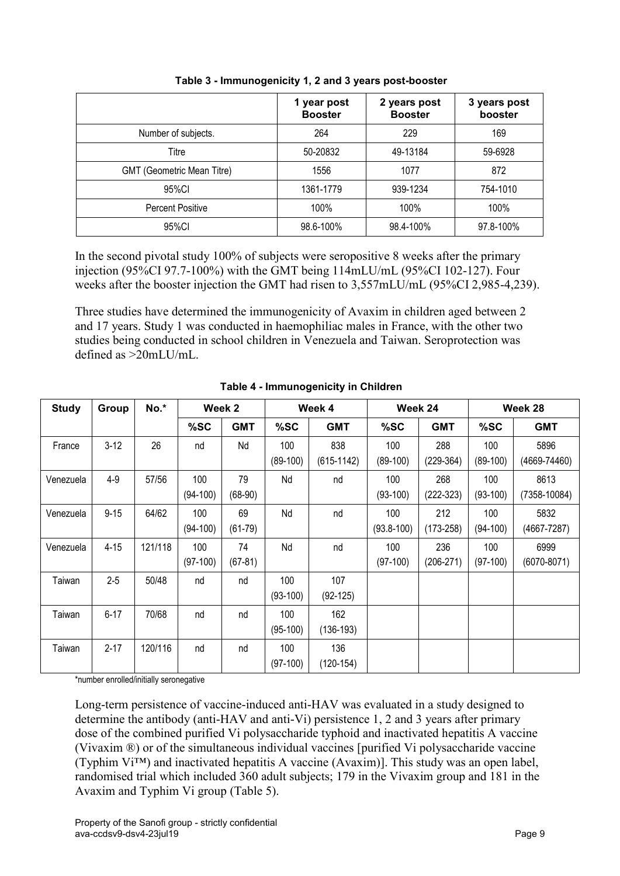|                            | 1 year post<br><b>Booster</b> | 2 years post<br><b>Booster</b> | 3 years post<br>booster |
|----------------------------|-------------------------------|--------------------------------|-------------------------|
| Number of subjects.        | 264                           | 229                            | 169                     |
| Titre                      | 50-20832                      | 49-13184                       | 59-6928                 |
| GMT (Geometric Mean Titre) | 1556                          | 1077                           | 872                     |
| 95%CI                      | 1361-1779                     | 939-1234                       | 754-1010                |
| <b>Percent Positive</b>    | 100%                          | 100%                           | 100%                    |
| 95%CI                      | 98.6-100%                     | 98.4-100%                      | 97.8-100%               |

**Table 3 - Immunogenicity 1, 2 and 3 years post-booster**

In the second pivotal study 100% of subjects were seropositive 8 weeks after the primary injection (95%CI 97.7-100%) with the GMT being 114mLU/mL (95%CI 102-127). Four weeks after the booster injection the GMT had risen to 3,557mLU/mL (95%CI 2,985-4,239).

Three studies have determined the immunogenicity of Avaxim in children aged between 2 and 17 years. Study 1 was conducted in haemophiliac males in France, with the other two studies being conducted in school children in Venezuela and Taiwan. Seroprotection was defined as >20mLU/mL.

| <b>Study</b> | Group    | No.*    |            | Week 2     |            | Week 4       |                | Week 24       |            | Week 28          |
|--------------|----------|---------|------------|------------|------------|--------------|----------------|---------------|------------|------------------|
|              |          |         | %SC        | <b>GMT</b> | %SC        | <b>GMT</b>   | %SC            | <b>GMT</b>    | %SC        | <b>GMT</b>       |
| France       | $3-12$   | 26      | nd         | Nd         | 100        | 838          | 100            | 288           | 100        | 5896             |
|              |          |         |            |            | $(89-100)$ | $(615-1142)$ | $(89-100)$     | $(229-364)$   | $(89-100)$ | $(4669 - 74460)$ |
| Venezuela    | $4 - 9$  | 57/56   | 100        | 79         | Nd         | nd           | 100            | 268           | 100        | 8613             |
|              |          |         | $(94-100)$ | $(68-90)$  |            |              | $(93-100)$     | $(222-323)$   | $(93-100)$ | $(7358 - 10084)$ |
| Venezuela    | $9 - 15$ | 64/62   | 100        | 69         | Nd         | nd           | 100            | 212           | 100        | 5832             |
|              |          |         | $(94-100)$ | $(61-79)$  |            |              | $(93.8 - 100)$ | $(173 - 258)$ | $(94-100)$ | $(4667 - 7287)$  |
| Venezuela    | $4 - 15$ | 121/118 | 100        | 74         | Nd         | nd           | 100            | 236           | 100        | 6999             |
|              |          |         | $(97-100)$ | $(67-81)$  |            |              | $(97-100)$     | $(206-271)$   | $(97-100)$ | $(6070 - 8071)$  |
| Taiwan       | $2 - 5$  | 50/48   | nd         | nd         | 100        | 107          |                |               |            |                  |
|              |          |         |            |            | $(93-100)$ | $(92-125)$   |                |               |            |                  |
| Taiwan       | $6 - 17$ | 70/68   | nd         | nd         | 100        | 162          |                |               |            |                  |
|              |          |         |            |            | $(95-100)$ | $(136-193)$  |                |               |            |                  |
| Taiwan       | $2 - 17$ | 120/116 | nd         | nd         | 100        | 136          |                |               |            |                  |
|              |          |         |            |            | $(97-100)$ | $(120-154)$  |                |               |            |                  |

**Table 4 - Immunogenicity in Children**

\*number enrolled/initially seronegative

Long-term persistence of vaccine-induced anti-HAV was evaluated in a study designed to determine the antibody (anti-HAV and anti-Vi) persistence 1, 2 and 3 years after primary dose of the combined purified Vi polysaccharide typhoid and inactivated hepatitis A vaccine (Vivaxim ®) or of the simultaneous individual vaccines [purified Vi polysaccharide vaccine (Typhim Vi™) and inactivated hepatitis A vaccine (Avaxim)]. This study was an open label, randomised trial which included 360 adult subjects; 179 in the Vivaxim group and 181 in the Avaxim and Typhim Vi group [\(Table](#page-9-0) 5).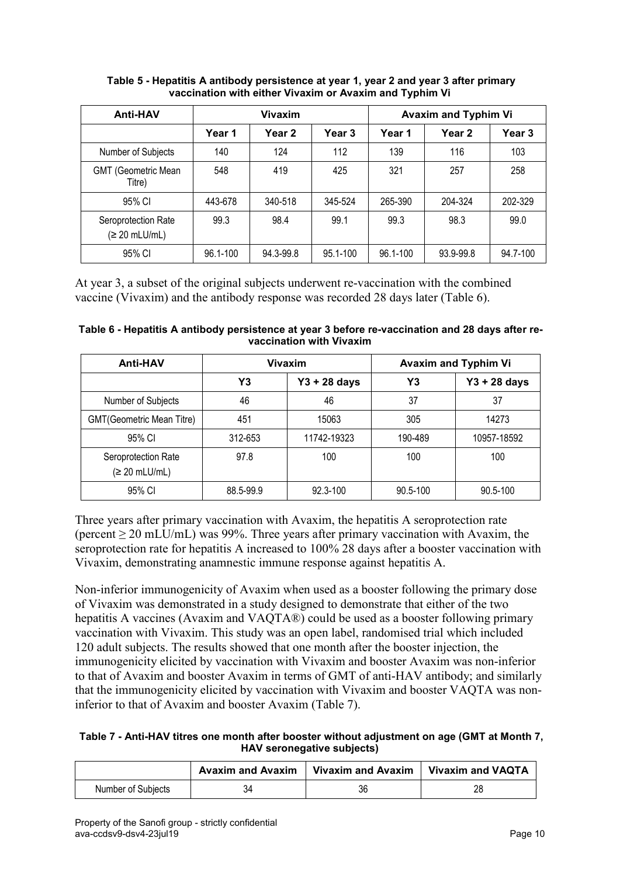| <b>Anti-HAV</b>                        | <b>Vivaxim</b> |           |          | <b>Avaxim and Typhim Vi</b> |           |          |  |
|----------------------------------------|----------------|-----------|----------|-----------------------------|-----------|----------|--|
|                                        | Year 1         | Year 2    | Year 3   | Year 1                      | Year 2    | Year 3   |  |
| Number of Subjects                     | 140            | 124       | 112      | 139                         | 116       | 103      |  |
| <b>GMT (Geometric Mean</b><br>Titre)   | 548            | 419       | 425      | 321                         | 257       | 258      |  |
| 95% CI                                 | 443-678        | 340-518   | 345-524  | 265-390                     | 204-324   | 202-329  |  |
| Seroprotection Rate<br>$(≥ 20$ mLU/mL) | 99.3           | 98.4      | 99.1     | 99.3                        | 98.3      | 99.0     |  |
| 95% CI                                 | 96.1-100       | 94.3-99.8 | 95.1-100 | 96.1-100                    | 93.9-99.8 | 94.7-100 |  |

<span id="page-9-0"></span>**Table 5 - Hepatitis A antibody persistence at year 1, year 2 and year 3 after primary vaccination with either Vivaxim or Avaxim and Typhim Vi**

At year 3, a subset of the original subjects underwent re-vaccination with the combined vaccine (Vivaxim) and the antibody response was recorded 28 days later [\(Table](#page-9-1) 6).

<span id="page-9-1"></span>

| Table 6 - Hepatitis A antibody persistence at year 3 before re-vaccination and 28 days after re- |  |
|--------------------------------------------------------------------------------------------------|--|
| vaccination with Vivaxim                                                                         |  |

| <b>Anti-HAV</b>                        | Vivaxim   |                |          | <b>Avaxim and Typhim Vi</b> |
|----------------------------------------|-----------|----------------|----------|-----------------------------|
|                                        | Y3        | $Y3 + 28$ days | Y3       | $Y3 + 28$ days              |
| Number of Subjects                     | 46        | 46             | 37       | 37                          |
| GMT(Geometric Mean Titre)              | 451       | 15063          | 305      | 14273                       |
| 95% CI                                 | 312-653   | 11742-19323    | 190-489  | 10957-18592                 |
| Seroprotection Rate<br>$(≥ 20$ mLU/mL) | 97.8      | 100            | 100      | 100                         |
| 95% CI                                 | 88.5-99.9 | 92.3-100       | 90.5-100 | 90.5-100                    |

Three years after primary vaccination with Avaxim, the hepatitis A seroprotection rate (percent ≥ 20 mLU/mL) was 99%. Three years after primary vaccination with Avaxim, the seroprotection rate for hepatitis A increased to 100% 28 days after a booster vaccination with Vivaxim, demonstrating anamnestic immune response against hepatitis A.

Non-inferior immunogenicity of Avaxim when used as a booster following the primary dose of Vivaxim was demonstrated in a study designed to demonstrate that either of the two hepatitis A vaccines (Avaxim and VAQTA®) could be used as a booster following primary vaccination with Vivaxim. This study was an open label, randomised trial which included 120 adult subjects. The results showed that one month after the booster injection, the immunogenicity elicited by vaccination with Vivaxim and booster Avaxim was non-inferior to that of Avaxim and booster Avaxim in terms of GMT of anti-HAV antibody; and similarly that the immunogenicity elicited by vaccination with Vivaxim and booster VAQTA was noninferior to that of Avaxim and booster Avaxim [\(Table](#page-9-2) 7).

<span id="page-9-2"></span>**Table 7 - Anti-HAV titres one month after booster without adjustment on age (GMT at Month 7, HAV seronegative subjects)**

|                    | Avaxim and Avaxim   Vivaxim and Avaxim   Vivaxim and VAQTA |    |
|--------------------|------------------------------------------------------------|----|
| Number of Subjects | 36                                                         | 28 |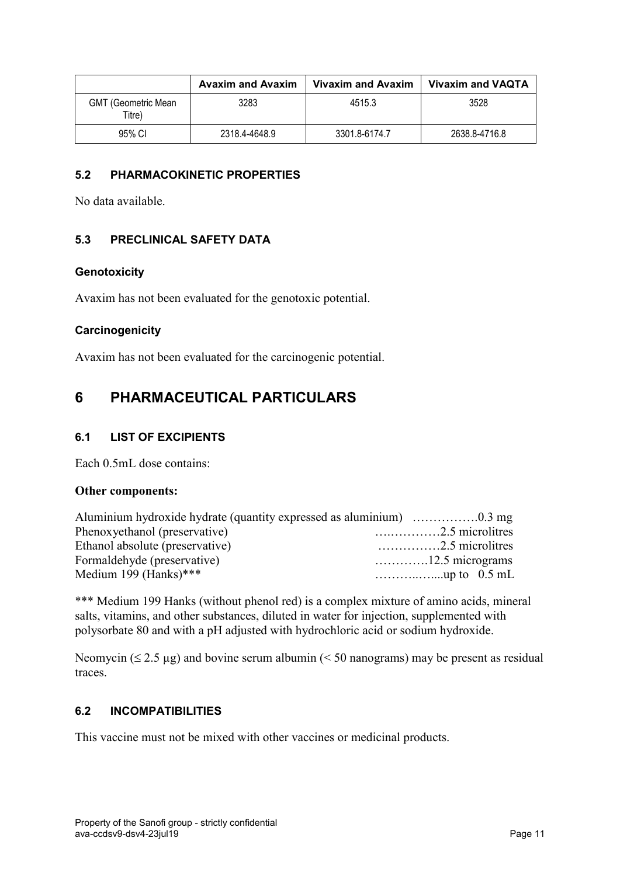|                                      | <b>Avaxim and Avaxim</b> | Vivaxim and Avaxim | <b>Vivaxim and VAQTA</b> |
|--------------------------------------|--------------------------|--------------------|--------------------------|
| <b>GMT (Geometric Mean</b><br>Titre) | 3283                     | 4515.3             | 3528                     |
| 95% CI                               | 2318.4-4648.9            | 3301.8-6174.7      | 2638.8-4716.8            |

### **5.2 PHARMACOKINETIC PROPERTIES**

No data available.

### **5.3 PRECLINICAL SAFETY DATA**

#### **Genotoxicity**

Avaxim has not been evaluated for the genotoxic potential.

#### **Carcinogenicity**

Avaxim has not been evaluated for the carcinogenic potential.

## <span id="page-10-0"></span>**6 PHARMACEUTICAL PARTICULARS**

#### **6.1 LIST OF EXCIPIENTS**

Each 0.5mL dose contains:

#### **Other components:**

| Phenoxyethanol (preservative)   |                          |
|---------------------------------|--------------------------|
| Ethanol absolute (preservative) | $\ldots$ 2.5 microlitres |
| Formaldehyde (preservative)     |                          |
| Medium 199 (Hanks)***           |                          |

\*\*\* Medium 199 Hanks (without phenol red) is a complex mixture of amino acids, mineral salts, vitamins, and other substances, diluted in water for injection, supplemented with polysorbate 80 and with a pH adjusted with hydrochloric acid or sodium hydroxide.

Neomycin ( $\leq$  2.5 µg) and bovine serum albumin ( $\leq$  50 nanograms) may be present as residual traces.

#### **6.2 INCOMPATIBILITIES**

This vaccine must not be mixed with other vaccines or medicinal products.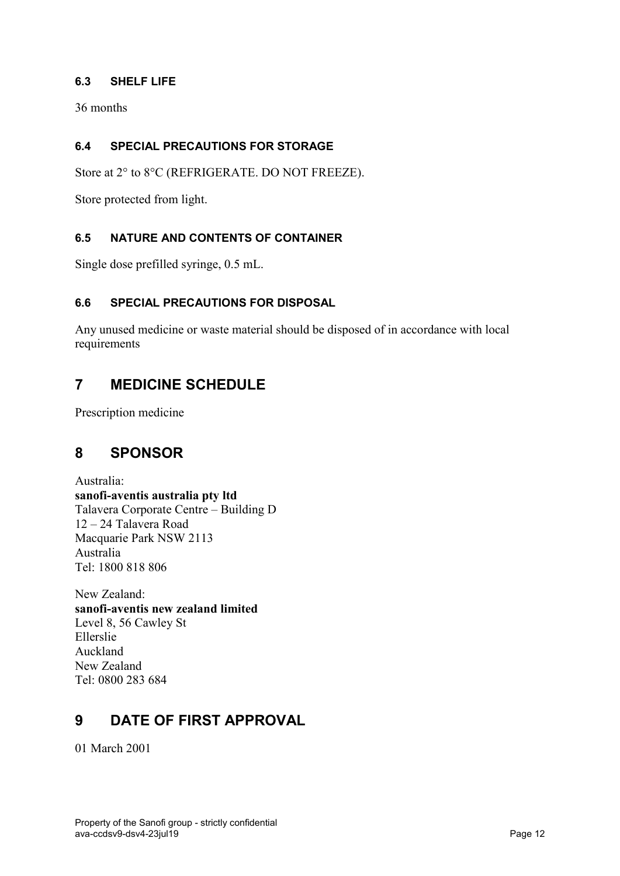## **6.3 SHELF LIFE**

36 months

## **6.4 SPECIAL PRECAUTIONS FOR STORAGE**

Store at 2° to 8°C (REFRIGERATE. DO NOT FREEZE).

Store protected from light.

## **6.5 NATURE AND CONTENTS OF CONTAINER**

Single dose prefilled syringe, 0.5 mL.

#### **6.6 SPECIAL PRECAUTIONS FOR DISPOSAL**

Any unused medicine or waste material should be disposed of in accordance with local requirements

## **7 MEDICINE SCHEDULE**

Prescription medicine

## **8 SPONSOR**

Australia: **sanofi-aventis australia pty ltd** Talavera Corporate Centre – Building D 12 – 24 Talavera Road Macquarie Park NSW 2113 Australia Tel: 1800 818 806

New Zealand: **sanofi-aventis new zealand limited** Level 8, 56 Cawley St Ellerslie Auckland New Zealand Tel: 0800 283 684

## **9 DATE OF FIRST APPROVAL**

01 March 2001